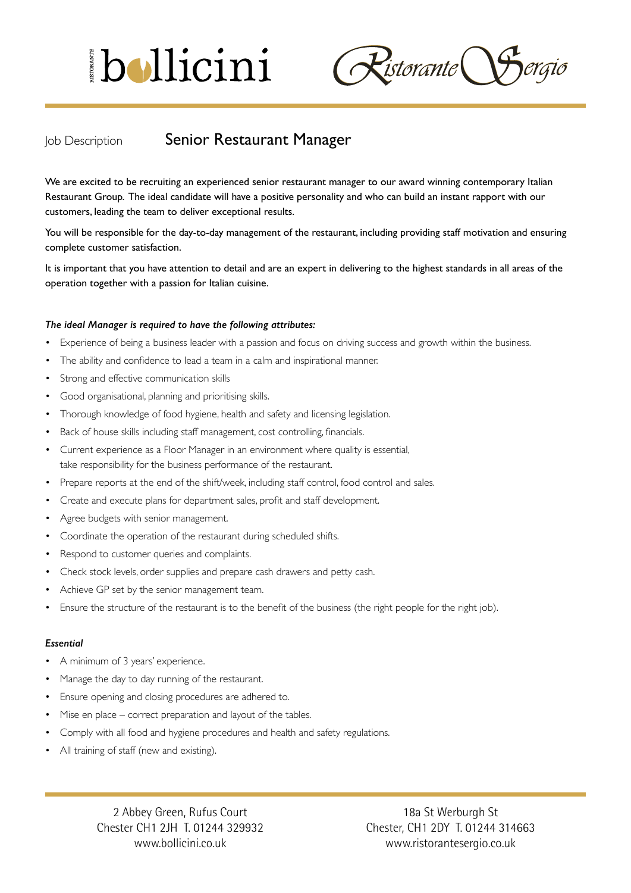# bollicini

 $\mathcal{R}$ istorante $\big(\big)$ 

## Job Description **Senior Restaurant Manager**

We are excited to be recruiting an experienced senior restaurant manager to our award winning contemporary Italian Restaurant Group. The ideal candidate will have a positive personality and who can build an instant rapport with our customers, leading the team to deliver exceptional results.

You will be responsible for the day-to-day management of the restaurant, including providing staff motivation and ensuring complete customer satisfaction.

It is important that you have attention to detail and are an expert in delivering to the highest standards in all areas of the operation together with a passion for Italian cuisine.

#### *The ideal Manager is required to have the following attributes:*

- Experience of being a business leader with a passion and focus on driving success and growth within the business.
- The ability and confidence to lead a team in a calm and inspirational manner.
- Strong and effective communication skills
- Good organisational, planning and prioritising skills.
- Thorough knowledge of food hygiene, health and safety and licensing legislation.
- Back of house skills including staff management, cost controlling, financials.
- Current experience as a Floor Manager in an environment where quality is essential, take responsibility for the business performance of the restaurant.
- Prepare reports at the end of the shift/week, including staff control, food control and sales.
- Create and execute plans for department sales, profit and staff development.
- • Agree budgets with senior management.
- Coordinate the operation of the restaurant during scheduled shifts.
- Respond to customer queries and complaints.
- Check stock levels, order supplies and prepare cash drawers and petty cash.
- Achieve GP set by the senior management team.
- Ensure the structure of the restaurant is to the benefit of the business (the right people for the right job).

#### *Essential*

- A minimum of 3 years' experience.
- Manage the day to day running of the restaurant.
- Ensure opening and closing procedures are adhered to.
- Mise en place correct preparation and layout of the tables.
- Comply with all food and hygiene procedures and health and safety regulations.
- All training of staff (new and existing).

2 Abbey Green, Rufus Court Chester CH1 2JH T. 01244 329932 www.bollicini.co.uk

18a St Werburgh St Chester, CH1 2DY T. 01244 314663 www.ristorantesergio.co.uk